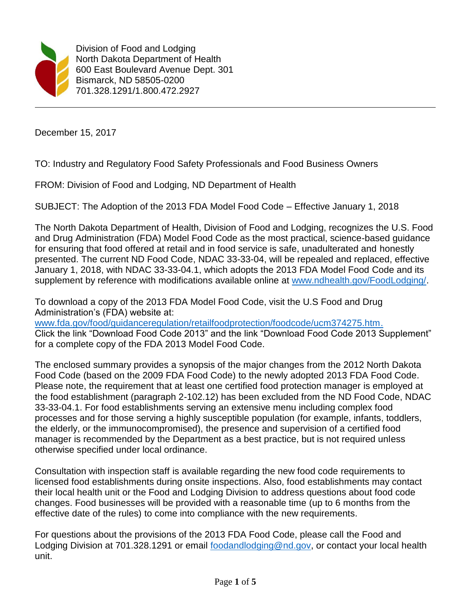

Division of Food and Lodging North Dakota Department of Health 600 East Boulevard Avenue Dept. 301 Bismarck, ND 58505-0200 701.328.1291/1.800.472.2927

December 15, 2017

TO: Industry and Regulatory Food Safety Professionals and Food Business Owners

FROM: Division of Food and Lodging, ND Department of Health

SUBJECT: The Adoption of the 2013 FDA Model Food Code – Effective January 1, 2018

The North Dakota Department of Health, Division of Food and Lodging, recognizes the U.S. Food and Drug Administration (FDA) Model Food Code as the most practical, science-based guidance for ensuring that food offered at retail and in food service is safe, unadulterated and honestly presented. The current ND Food Code, NDAC 33-33-04, will be repealed and replaced, effective January 1, 2018, with NDAC 33-33-04.1, which adopts the 2013 FDA Model Food Code and its supplement by reference with modifications available online at [www.ndhealth.gov/FoodLodging/.](http://www.ndhealth.gov/FoodLodging/)

To download a copy of the 2013 FDA Model Food Code, visit the U.S Food and Drug Administration's (FDA) website at:

[www.fda.gov/food/guidanceregulation/retailfoodprotection/foodcode/ucm374275.htm.](http://www.fda.gov/food/guidanceregulation/retailfoodprotection/foodcode/ucm374275.htm) Click the link "Download Food Code 2013" and the link "Download Food Code 2013 Supplement" for a complete copy of the FDA 2013 Model Food Code.

The enclosed summary provides a synopsis of the major changes from the 2012 North Dakota Food Code (based on the 2009 FDA Food Code) to the newly adopted 2013 FDA Food Code. Please note, the requirement that at least one certified food protection manager is employed at the food establishment (paragraph 2-102.12) has been excluded from the ND Food Code, NDAC 33-33-04.1. For food establishments serving an extensive menu including complex food processes and for those serving a highly susceptible population (for example, infants, toddlers, the elderly, or the immunocompromised), the presence and supervision of a certified food manager is recommended by the Department as a best practice, but is not required unless otherwise specified under local ordinance.

Consultation with inspection staff is available regarding the new food code requirements to licensed food establishments during onsite inspections. Also, food establishments may contact their local health unit or the Food and Lodging Division to address questions about food code changes. Food businesses will be provided with a reasonable time (up to 6 months from the effective date of the rules) to come into compliance with the new requirements.

For questions about the provisions of the 2013 FDA Food Code, please call the Food and Lodging Division at 701.328.1291 or email [foodandlodging@nd.gov,](mailto:foodandlodging@nd.gov) or contact your local health unit.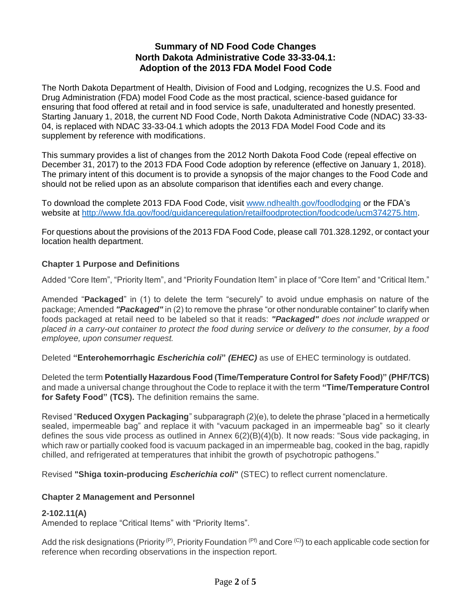# **Summary of ND Food Code Changes North Dakota Administrative Code 33-33-04.1: Adoption of the 2013 FDA Model Food Code**

The North Dakota Department of Health, Division of Food and Lodging, recognizes the U.S. Food and Drug Administration (FDA) model Food Code as the most practical, science-based guidance for ensuring that food offered at retail and in food service is safe, unadulterated and honestly presented. Starting January 1, 2018, the current ND Food Code, North Dakota Administrative Code (NDAC) 33-33- 04, is replaced with NDAC 33-33-04.1 which adopts the 2013 FDA Model Food Code and its supplement by reference with modifications.

This summary provides a list of changes from the 2012 North Dakota Food Code (repeal effective on December 31, 2017) to the 2013 FDA Food Code adoption by reference (effective on January 1, 2018). The primary intent of this document is to provide a synopsis of the major changes to the Food Code and should not be relied upon as an absolute comparison that identifies each and every change.

To download the complete 2013 FDA Food Code, visit [www.ndhealth.gov/foodlodging](http://www.ndhealth.gov/foodlodging) or the FDA's website at [http://www.fda.gov/food/guidanceregulation/retailfoodprotection/foodcode/ucm374275.htm.](http://www.fda.gov/food/guidanceregulation/retailfoodprotection/foodcode/ucm374275.htm)

For questions about the provisions of the 2013 FDA Food Code, please call 701.328.1292, or contact your location health department.

# **Chapter 1 Purpose and Definitions**

Added "Core Item", "Priority Item", and "Priority Foundation Item" in place of "Core Item" and "Critical Item."

Amended "**Packaged**" in (1) to delete the term "securely" to avoid undue emphasis on nature of the package; Amended *"Packaged"* in (2) to remove the phrase "or other nondurable container" to clarify when foods packaged at retail need to be labeled so that it reads: *"Packaged" does not include wrapped or placed in a carry-out container to protect the food during service or delivery to the consumer, by a food employee, upon consumer request.*

Deleted **"Enterohemorrhagic** *Escherichia coli***"** *(EHEC)* as use of EHEC terminology is outdated.

Deleted the term **Potentially Hazardous Food (Time/Temperature Control for Safety Food)" (PHF/TCS)**  and made a universal change throughout the Code to replace it with the term **"Time/Temperature Control for Safety Food" (TCS).** The definition remains the same.

Revised "**Reduced Oxygen Packaging**" subparagraph (2)(e), to delete the phrase "placed in a hermetically sealed, impermeable bag" and replace it with "vacuum packaged in an impermeable bag" so it clearly defines the sous vide process as outlined in Annex 6(2)(B)(4)(b). It now reads: "Sous vide packaging, in which raw or partially cooked food is vacuum packaged in an impermeable bag, cooked in the bag, rapidly chilled, and refrigerated at temperatures that inhibit the growth of psychotropic pathogens."

Revised **"Shiga toxin-producing** *Escherichia coli***"** (STEC) to reflect current nomenclature.

# **Chapter 2 Management and Personnel**

# **2-102.11(A)**

Amended to replace "Critical Items" with "Priority Items".

Add the risk designations (Priority(P), Priority Foundation (Pf) and Core (C)) to each applicable code section for reference when recording observations in the inspection report.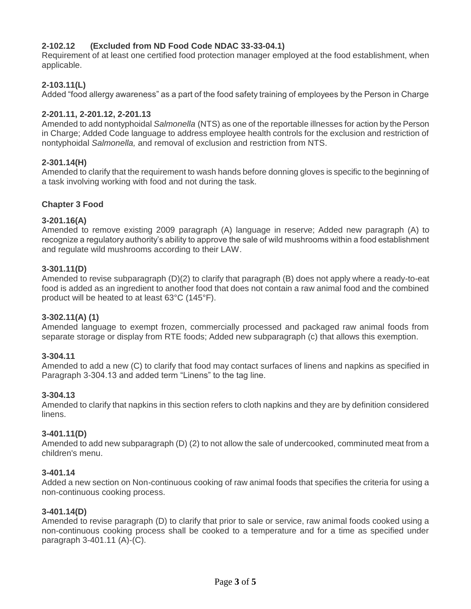# **2-102.12 (Excluded from ND Food Code NDAC 33-33-04.1)**

Requirement of at least one certified food protection manager employed at the food establishment, when applicable.

# **2-103.11(L)**

Added "food allergy awareness" as a part of the food safety training of employees by the Person in Charge

### **2-201.11, 2-201.12, 2-201.13**

Amended to add nontyphoidal *Salmonella* (NTS) as one of the reportable illnesses for action by the Person in Charge; Added Code language to address employee health controls for the exclusion and restriction of nontyphoidal *Salmonella,* and removal of exclusion and restriction from NTS.

### **2-301.14(H)**

Amended to clarify that the requirement to wash hands before donning gloves is specific to the beginning of a task involving working with food and not during the task.

### **Chapter 3 Food**

### **3-201.16(A)**

Amended to remove existing 2009 paragraph (A) language in reserve; Added new paragraph (A) to recognize a regulatory authority's ability to approve the sale of wild mushrooms within a food establishment and regulate wild mushrooms according to their LAW.

### **3-301.11(D)**

Amended to revise subparagraph (D)(2) to clarify that paragraph (B) does not apply where a ready-to-eat food is added as an ingredient to another food that does not contain a raw animal food and the combined product will be heated to at least 63°C (145°F).

### **3-302.11(A) (1)**

Amended language to exempt frozen, commercially processed and packaged raw animal foods from separate storage or display from RTE foods; Added new subparagraph (c) that allows this exemption.

### **3-304.11**

Amended to add a new (C) to clarify that food may contact surfaces of linens and napkins as specified in Paragraph 3-304.13 and added term "Linens" to the tag line.

### **3-304.13**

Amended to clarify that napkins in this section refers to cloth napkins and they are by definition considered linens.

### **3-401.11(D)**

Amended to add new subparagraph (D) (2) to not allow the sale of undercooked, comminuted meat from a children's menu.

### **3-401.14**

Added a new section on Non-continuous cooking of raw animal foods that specifies the criteria for using a non-continuous cooking process.

### **3-401.14(D)**

Amended to revise paragraph (D) to clarify that prior to sale or service, raw animal foods cooked using a non-continuous cooking process shall be cooked to a temperature and for a time as specified under paragraph 3-401.11 (A)-(C).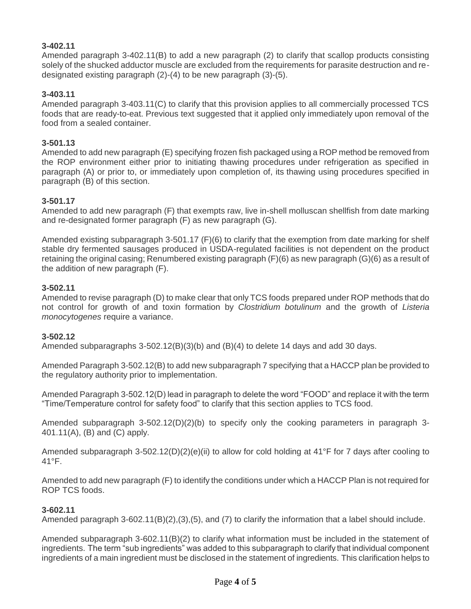# **3-402.11**

Amended paragraph 3-402.11(B) to add a new paragraph (2) to clarify that scallop products consisting solely of the shucked adductor muscle are excluded from the requirements for parasite destruction and redesignated existing paragraph (2)-(4) to be new paragraph (3)-(5).

# **3-403.11**

Amended paragraph 3-403.11(C) to clarify that this provision applies to all commercially processed TCS foods that are ready-to-eat. Previous text suggested that it applied only immediately upon removal of the food from a sealed container.

## **3-501.13**

Amended to add new paragraph (E) specifying frozen fish packaged using a ROP method be removed from the ROP environment either prior to initiating thawing procedures under refrigeration as specified in paragraph (A) or prior to, or immediately upon completion of, its thawing using procedures specified in paragraph (B) of this section.

# **3-501.17**

Amended to add new paragraph (F) that exempts raw, live in-shell molluscan shellfish from date marking and re-designated former paragraph (F) as new paragraph (G).

Amended existing subparagraph 3-501.17 (F)(6) to clarify that the exemption from date marking for shelf stable dry fermented sausages produced in USDA-regulated facilities is not dependent on the product retaining the original casing; Renumbered existing paragraph (F)(6) as new paragraph (G)(6) as a result of the addition of new paragraph (F).

### **3-502.11**

Amended to revise paragraph (D) to make clear that only TCS foods prepared under ROP methods that do not control for growth of and toxin formation by *Clostridium botulinum* and the growth of *Listeria monocytogenes* require a variance.

### **3-502.12**

Amended subparagraphs 3-502.12(B)(3)(b) and (B)(4) to delete 14 days and add 30 days.

Amended Paragraph 3-502.12(B) to add new subparagraph 7 specifying that a HACCP plan be provided to the regulatory authority prior to implementation.

Amended Paragraph 3-502.12(D) lead in paragraph to delete the word "FOOD" and replace it with the term "Time/Temperature control for safety food" to clarify that this section applies to TCS food.

Amended subparagraph 3-502.12(D)(2)(b) to specify only the cooking parameters in paragraph 3- 401.11(A), (B) and (C) apply.

Amended subparagraph 3-502.12(D)(2)(e)(ii) to allow for cold holding at 41°F for 7 days after cooling to 41°F.

Amended to add new paragraph (F) to identify the conditions under which a HACCP Plan is not required for ROP TCS foods.

### **3-602.11**

Amended paragraph 3-602.11(B)(2),(3),(5), and (7) to clarify the information that a label should include.

Amended subparagraph 3-602.11(B)(2) to clarify what information must be included in the statement of ingredients. The term "sub ingredients" was added to this subparagraph to clarify that individual component ingredients of a main ingredient must be disclosed in the statement of ingredients. This clarification helps to